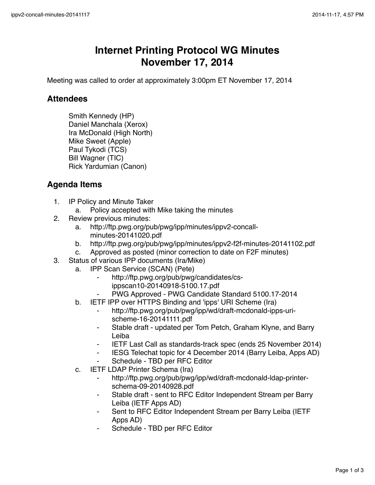## **Internet Printing Protocol WG Minutes November 17, 2014**

Meeting was called to order at approximately 3:00pm ET November 17, 2014

## **Attendees**

Smith Kennedy (HP) Daniel Manchala (Xerox) Ira McDonald (High North) Mike Sweet (Apple) Paul Tykodi (TCS) Bill Wagner (TIC) Rick Yardumian (Canon)

## **Agenda Items**

- 1. IP Policy and Minute Taker
	- a. Policy accepted with Mike taking the minutes
- 2. Review previous minutes:
	- a. http://ftp.pwg.org/pub/pwg/ipp/minutes/ippv2-concallminutes-20141020.pdf
	- b. http://ftp.pwg.org/pub/pwg/ipp/minutes/ippv2-f2f-minutes-20141102.pdf
	- c. Approved as posted (minor correction to date on F2F minutes)
- 3. Status of various IPP documents (Ira/Mike)
	- a. IPP Scan Service (SCAN) (Pete)
		- http://ftp.pwg.org/pub/pwg/candidates/csippscan10-20140918-5100.17.pdf
		- PWG Approved PWG Candidate Standard 5100.17-2014
		- b. IETF IPP over HTTPS Binding and 'ipps' URI Scheme (Ira)
			- http://ftp.pwg.org/pub/pwg/ipp/wd/draft-mcdonald-ipps-urischeme-16-20141111.pdf
			- ⁃ Stable draft updated per Tom Petch, Graham Klyne, and Barry Leiba
			- **IETF Last Call as standards-track spec (ends 25 November 2014)**
			- ⁃ IESG Telechat topic for 4 December 2014 (Barry Leiba, Apps AD)
			- Schedule TBD per RFC Editor
		- c. IETF LDAP Printer Schema (Ira)
			- http://ftp.pwg.org/pub/pwg/ipp/wd/draft-mcdonald-Idap-printerschema-09-20140928.pdf
			- Stable draft sent to RFC Editor Independent Stream per Barry Leiba (IETF Apps AD)
			- Sent to RFC Editor Independent Stream per Barry Leiba (IETF Apps AD)
			- Schedule TBD per RFC Editor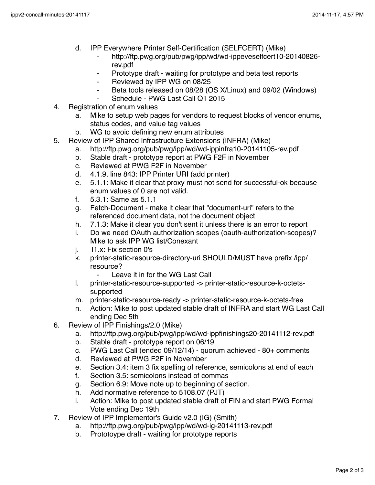- d. IPP Everywhere Printer Self-Certification (SELFCERT) (Mike)
	- ⁃ http://ftp.pwg.org/pub/pwg/ipp/wd/wd-ippeveselfcert10-20140826 rev.pdf
	- Prototype draft waiting for prototype and beta test reports
	- ⁃ Reviewed by IPP WG on 08/25
	- Beta tools released on 08/28 (OS X/Linux) and 09/02 (Windows)
	- ⁃ Schedule PWG Last Call Q1 2015
- 4. Registration of enum values
	- a. Mike to setup web pages for vendors to request blocks of vendor enums, status codes, and value tag values
	- b. WG to avoid defining new enum attributes
- 5. Review of IPP Shared Infrastructure Extensions (INFRA) (Mike)
	- a. http://ftp.pwg.org/pub/pwg/ipp/wd/wd-ippinfra10-20141105-rev.pdf
	- b. Stable draft prototype report at PWG F2F in November
	- c. Reviewed at PWG F2F in November
	- d. 4.1.9, line 843: IPP Printer URI (add printer)
	- e. 5.1.1: Make it clear that proxy must not send for successful-ok because enum values of 0 are not valid.
	- f. 5.3.1: Same as 5.1.1
	- g. Fetch-Document make it clear that "document-uri" refers to the referenced document data, not the document object
	- h. 7.1.3: Make it clear you don't sent it unless there is an error to report
	- i. Do we need OAuth authorization scopes (oauth-authorization-scopes)? Mike to ask IPP WG list/Conexant
	- j. 11.x: Fix section 0's
	- k. printer-static-resource-directory-uri SHOULD/MUST have prefix /ipp/ resource?
		- ⁃ Leave it in for the WG Last Call
	- l. printer-static-resource-supported -> printer-static-resource-k-octetssupported
	- m. printer-static-resource-ready -> printer-static-resource-k-octets-free
	- n. Action: Mike to post updated stable draft of INFRA and start WG Last Call ending Dec 5th
- 6. Review of IPP Finishings/2.0 (Mike)
	- a. http://ftp.pwg.org/pub/pwg/ipp/wd/wd-ippfinishings20-20141112-rev.pdf
	- b. Stable draft prototype report on 06/19
	- c. PWG Last Call (ended 09/12/14) quorum achieved 80+ comments
	- d. Reviewed at PWG F2F in November
	- e. Section 3.4: item 3 fix spelling of reference, semicolons at end of each
	- f. Section 3.5: semicolons instead of commas
	- g. Section 6.9: Move note up to beginning of section.
	- h. Add normative reference to 5108.07 (PJT)
	- i. Action: Mike to post updated stable draft of FIN and start PWG Formal Vote ending Dec 19th
- 7. Review of IPP Implementor's Guide v2.0 (IG) (Smith)
	- a. http://ftp.pwg.org/pub/pwg/ipp/wd/wd-ig-20141113-rev.pdf
	- b. Prototoype draft waiting for prototype reports